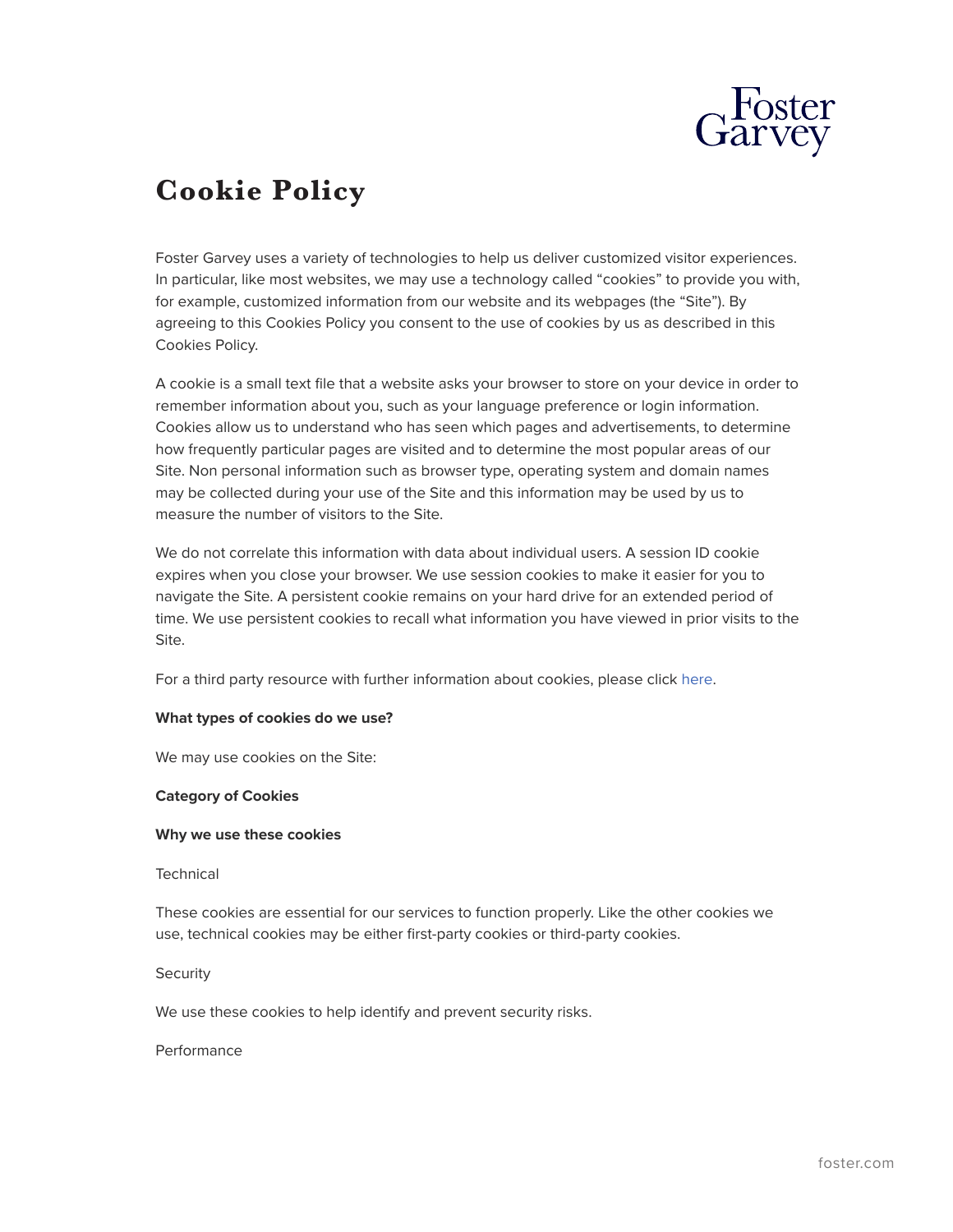

# **Cookie Policy**

Foster Garvey uses a variety of technologies to help us deliver customized visitor experiences. In particular, like most websites, we may use a technology called "cookies" to provide you with, for example, customized information from our website and its webpages (the "Site"). By agreeing to this Cookies Policy you consent to the use of cookies by us as described in this Cookies Policy.

A cookie is a small text file that a website asks your browser to store on your device in order to remember information about you, such as your language preference or login information. Cookies allow us to understand who has seen which pages and advertisements, to determine how frequently particular pages are visited and to determine the most popular areas of our Site. Non personal information such as browser type, operating system and domain names may be collected during your use of the Site and this information may be used by us to measure the number of visitors to the Site.

We do not correlate this information with data about individual users. A session ID cookie expires when you close your browser. We use session cookies to make it easier for you to navigate the Site. A persistent cookie remains on your hard drive for an extended period of time. We use persistent cookies to recall what information you have viewed in prior visits to the Site.

For a third party resource with further information about cookies, please click [here](http://www.allaboutcookies.org/).

# **What types of cookies do we use?**

We may use cookies on the Site:

#### **Category of Cookies**

#### **Why we use these cookies**

#### Technical

These cookies are essential for our services to function properly. Like the other cookies we use, technical cookies may be either first-party cookies or third-party cookies.

#### **Security**

We use these cookies to help identify and prevent security risks.

#### Performance